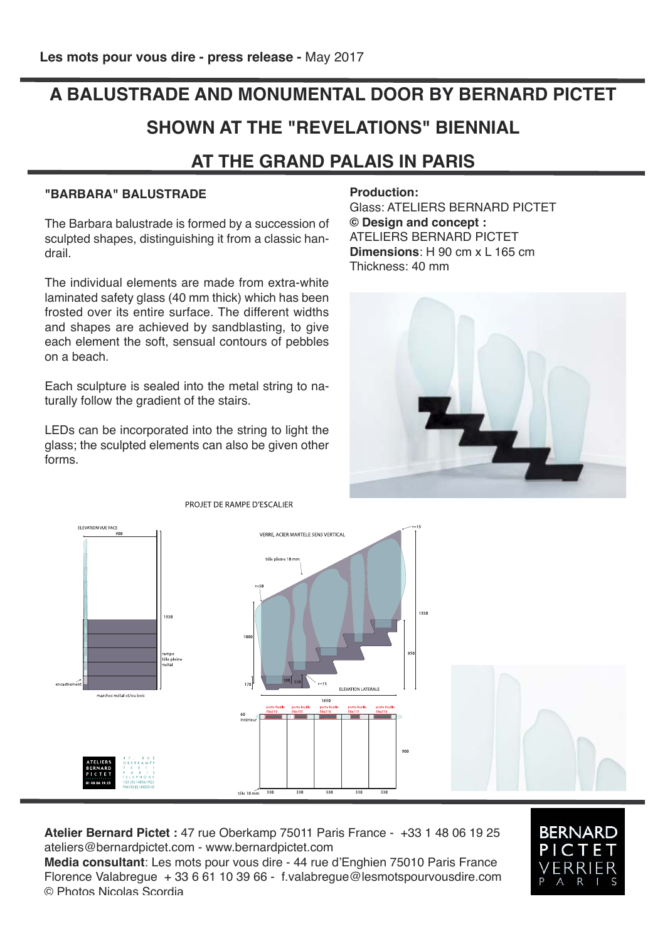## **A BALUSTRADE AND MONUMENTAL DOOR BY BERNARD PICTET SHOWN AT THE "REVELATIONS" BIENNIAL AT THE GRAND PALAIS IN PARIS**

## **"BARBARA" BALUSTRADE**

The Barbara balustrade is formed by a succession of sculpted shapes, distinguishing it from a classic handrail.

The individual elements are made from extra-white laminated safety glass (40 mm thick) which has been frosted over its entire surface. The different widths and shapes are achieved by sandblasting, to give each element the soft, sensual contours of pebbles on a beach.

Each sculpture is sealed into the metal string to naturally follow the gradient of the stairs.

LEDs can be incorporated into the string to light the glass; the sculpted elements can also be given other forms.

**Production:**

Glass: ATELIERS BERNARD PICTET **© Design and concept :** ATELIERS BERNARD PICTET **Dimensions**: Н 90 cm х L 165 cm Thickness: 40 mm





**Atelier Bernard Pictet :** 47 rue Oberkamp 75011 Paris France - +33 1 48 06 19 25 ateliers@bernardpictet.com - www.bernardpictet.com

**Media consultant**: Les mots pour vous dire - 44 rue d'Enghien 75010 Paris France Florence Valabregue + 33 6 61 10 39 66 - f.valabregue@lesmotspourvousdire.com © Photos Nicolas Scordia



PROJET DE RAMPE D'ESCALIER